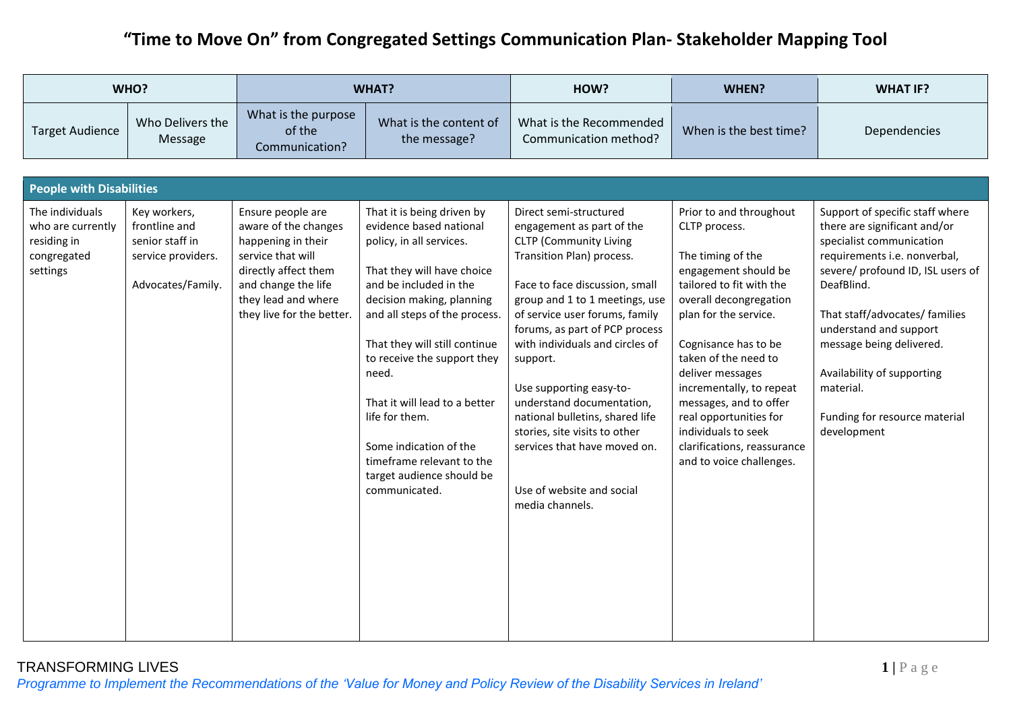|                                                                                | WHO?                                                                                        |                                                                                                                                                                                         | <b>WHAT?</b>                                                                                                                                                                                                                                                                                                                                                                                                                             | HOW?                                                                                                                                                                                                                                                                                                                                                                                                                                                                                                                 | WHEN?                                                                                                                                                                                                                                                                                                                                                                                                      | <b>WHAT IF?</b>                                                                                                                                                                                                                                                                                                                                                   |  |  |  |  |
|--------------------------------------------------------------------------------|---------------------------------------------------------------------------------------------|-----------------------------------------------------------------------------------------------------------------------------------------------------------------------------------------|------------------------------------------------------------------------------------------------------------------------------------------------------------------------------------------------------------------------------------------------------------------------------------------------------------------------------------------------------------------------------------------------------------------------------------------|----------------------------------------------------------------------------------------------------------------------------------------------------------------------------------------------------------------------------------------------------------------------------------------------------------------------------------------------------------------------------------------------------------------------------------------------------------------------------------------------------------------------|------------------------------------------------------------------------------------------------------------------------------------------------------------------------------------------------------------------------------------------------------------------------------------------------------------------------------------------------------------------------------------------------------------|-------------------------------------------------------------------------------------------------------------------------------------------------------------------------------------------------------------------------------------------------------------------------------------------------------------------------------------------------------------------|--|--|--|--|
| <b>Target Audience</b>                                                         | Who Delivers the<br>Message                                                                 | What is the purpose<br>of the<br>Communication?                                                                                                                                         | What is the content of<br>the message?                                                                                                                                                                                                                                                                                                                                                                                                   | What is the Recommended<br>Communication method?                                                                                                                                                                                                                                                                                                                                                                                                                                                                     | When is the best time?                                                                                                                                                                                                                                                                                                                                                                                     | Dependencies                                                                                                                                                                                                                                                                                                                                                      |  |  |  |  |
|                                                                                |                                                                                             |                                                                                                                                                                                         |                                                                                                                                                                                                                                                                                                                                                                                                                                          |                                                                                                                                                                                                                                                                                                                                                                                                                                                                                                                      |                                                                                                                                                                                                                                                                                                                                                                                                            |                                                                                                                                                                                                                                                                                                                                                                   |  |  |  |  |
|                                                                                | <b>People with Disabilities</b>                                                             |                                                                                                                                                                                         |                                                                                                                                                                                                                                                                                                                                                                                                                                          |                                                                                                                                                                                                                                                                                                                                                                                                                                                                                                                      |                                                                                                                                                                                                                                                                                                                                                                                                            |                                                                                                                                                                                                                                                                                                                                                                   |  |  |  |  |
| The individuals<br>who are currently<br>residing in<br>congregated<br>settings | Key workers,<br>frontline and<br>senior staff in<br>service providers.<br>Advocates/Family. | Ensure people are<br>aware of the changes<br>happening in their<br>service that will<br>directly affect them<br>and change the life<br>they lead and where<br>they live for the better. | That it is being driven by<br>evidence based national<br>policy, in all services.<br>That they will have choice<br>and be included in the<br>decision making, planning<br>and all steps of the process.<br>That they will still continue<br>to receive the support they<br>need.<br>That it will lead to a better<br>life for them.<br>Some indication of the<br>timeframe relevant to the<br>target audience should be<br>communicated. | Direct semi-structured<br>engagement as part of the<br><b>CLTP</b> (Community Living<br>Transition Plan) process.<br>Face to face discussion, small<br>group and 1 to 1 meetings, use<br>of service user forums, family<br>forums, as part of PCP process<br>with individuals and circles of<br>support.<br>Use supporting easy-to-<br>understand documentation,<br>national bulletins, shared life<br>stories, site visits to other<br>services that have moved on.<br>Use of website and social<br>media channels. | Prior to and throughout<br>CLTP process.<br>The timing of the<br>engagement should be<br>tailored to fit with the<br>overall decongregation<br>plan for the service.<br>Cognisance has to be<br>taken of the need to<br>deliver messages<br>incrementally, to repeat<br>messages, and to offer<br>real opportunities for<br>individuals to seek<br>clarifications, reassurance<br>and to voice challenges. | Support of specific staff where<br>there are significant and/or<br>specialist communication<br>requirements i.e. nonverbal,<br>severe/ profound ID, ISL users of<br>DeafBlind.<br>That staff/advocates/ families<br>understand and support<br>message being delivered.<br>Availability of supporting<br>material.<br>Funding for resource material<br>development |  |  |  |  |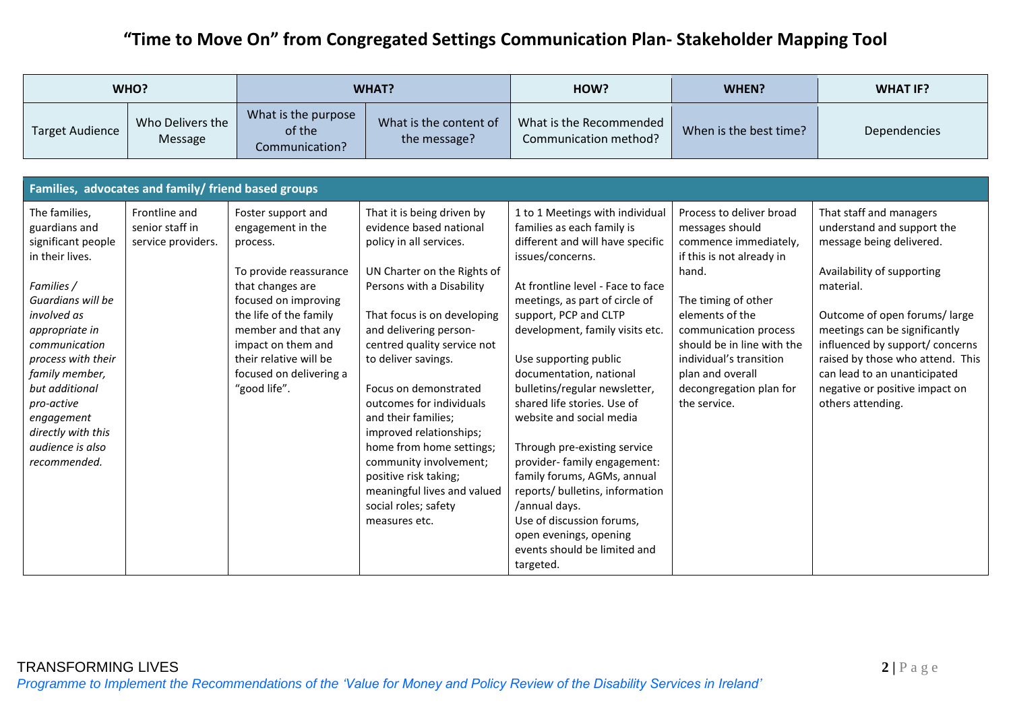| WHO?                                                                                                                                                                                                                                                                                                         |                                                        |                                                                                                                                                                                                                                                                       | <b>WHAT?</b>                                                                                                                                                                                                                                                                                                                                                                                                                                                                                                              |                                                                                                                                                                                                                                                                                                                                                                                                                                                                                                                                                                                                                                                                 | WHEN?                                                                                                                                                                                                                                                                                                 | <b>WHAT IF?</b>                                                                                                                                                                                                                                                                                                                                             |  |  |
|--------------------------------------------------------------------------------------------------------------------------------------------------------------------------------------------------------------------------------------------------------------------------------------------------------------|--------------------------------------------------------|-----------------------------------------------------------------------------------------------------------------------------------------------------------------------------------------------------------------------------------------------------------------------|---------------------------------------------------------------------------------------------------------------------------------------------------------------------------------------------------------------------------------------------------------------------------------------------------------------------------------------------------------------------------------------------------------------------------------------------------------------------------------------------------------------------------|-----------------------------------------------------------------------------------------------------------------------------------------------------------------------------------------------------------------------------------------------------------------------------------------------------------------------------------------------------------------------------------------------------------------------------------------------------------------------------------------------------------------------------------------------------------------------------------------------------------------------------------------------------------------|-------------------------------------------------------------------------------------------------------------------------------------------------------------------------------------------------------------------------------------------------------------------------------------------------------|-------------------------------------------------------------------------------------------------------------------------------------------------------------------------------------------------------------------------------------------------------------------------------------------------------------------------------------------------------------|--|--|
| <b>Target Audience</b>                                                                                                                                                                                                                                                                                       | Who Delivers the<br>Message                            | What is the purpose<br>of the<br>Communication?                                                                                                                                                                                                                       | What is the content of<br>the message?                                                                                                                                                                                                                                                                                                                                                                                                                                                                                    | What is the Recommended<br>Communication method?                                                                                                                                                                                                                                                                                                                                                                                                                                                                                                                                                                                                                | When is the best time?                                                                                                                                                                                                                                                                                | Dependencies                                                                                                                                                                                                                                                                                                                                                |  |  |
| Families, advocates and family/ friend based groups                                                                                                                                                                                                                                                          |                                                        |                                                                                                                                                                                                                                                                       |                                                                                                                                                                                                                                                                                                                                                                                                                                                                                                                           |                                                                                                                                                                                                                                                                                                                                                                                                                                                                                                                                                                                                                                                                 |                                                                                                                                                                                                                                                                                                       |                                                                                                                                                                                                                                                                                                                                                             |  |  |
|                                                                                                                                                                                                                                                                                                              |                                                        |                                                                                                                                                                                                                                                                       |                                                                                                                                                                                                                                                                                                                                                                                                                                                                                                                           |                                                                                                                                                                                                                                                                                                                                                                                                                                                                                                                                                                                                                                                                 |                                                                                                                                                                                                                                                                                                       |                                                                                                                                                                                                                                                                                                                                                             |  |  |
| The families,<br>guardians and<br>significant people<br>in their lives.<br>Families /<br>Guardians will be<br>involved as<br>appropriate in<br>communication<br>process with their<br>family member,<br>but additional<br>pro-active<br>engagement<br>directly with this<br>audience is also<br>recommended. | Frontline and<br>senior staff in<br>service providers. | Foster support and<br>engagement in the<br>process.<br>To provide reassurance<br>that changes are<br>focused on improving<br>the life of the family<br>member and that any<br>impact on them and<br>their relative will be<br>focused on delivering a<br>"good life". | That it is being driven by<br>evidence based national<br>policy in all services.<br>UN Charter on the Rights of<br>Persons with a Disability<br>That focus is on developing<br>and delivering person-<br>centred quality service not<br>to deliver savings.<br>Focus on demonstrated<br>outcomes for individuals<br>and their families;<br>improved relationships;<br>home from home settings;<br>community involvement;<br>positive risk taking;<br>meaningful lives and valued<br>social roles; safety<br>measures etc. | 1 to 1 Meetings with individual<br>families as each family is<br>different and will have specific<br>issues/concerns.<br>At frontline level - Face to face<br>meetings, as part of circle of<br>support, PCP and CLTP<br>development, family visits etc.<br>Use supporting public<br>documentation, national<br>bulletins/regular newsletter,<br>shared life stories. Use of<br>website and social media<br>Through pre-existing service<br>provider- family engagement:<br>family forums, AGMs, annual<br>reports/ bulletins, information<br>/annual days.<br>Use of discussion forums,<br>open evenings, opening<br>events should be limited and<br>targeted. | Process to deliver broad<br>messages should<br>commence immediately,<br>if this is not already in<br>hand.<br>The timing of other<br>elements of the<br>communication process<br>should be in line with the<br>individual's transition<br>plan and overall<br>decongregation plan for<br>the service. | That staff and managers<br>understand and support the<br>message being delivered.<br>Availability of supporting<br>material.<br>Outcome of open forums/large<br>meetings can be significantly<br>influenced by support/ concerns<br>raised by those who attend. This<br>can lead to an unanticipated<br>negative or positive impact on<br>others attending. |  |  |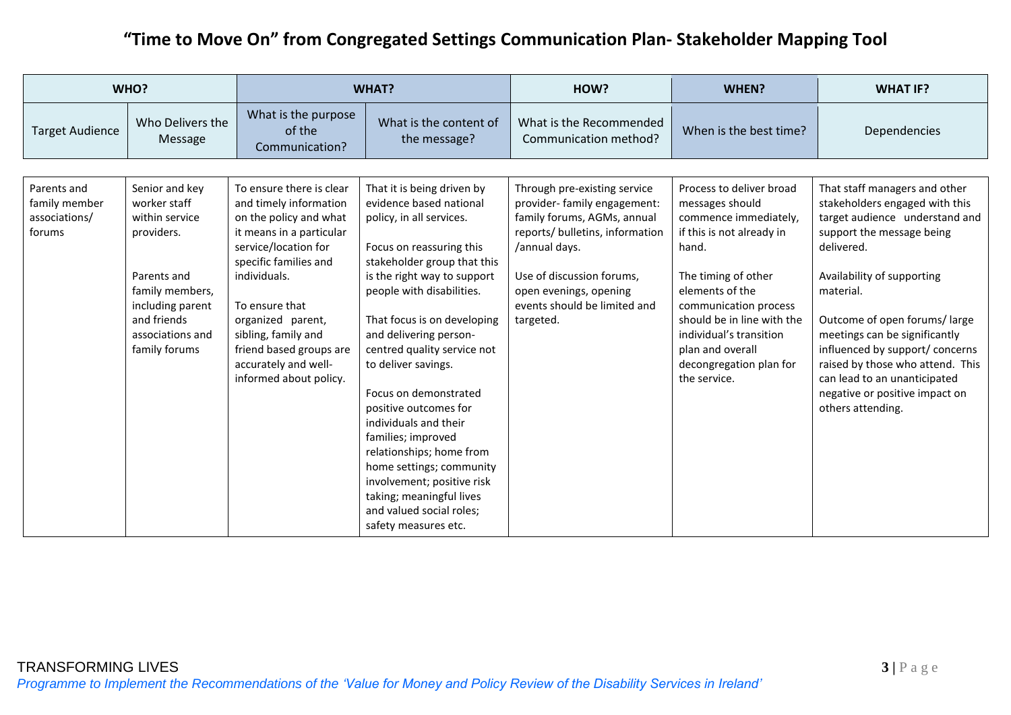|                                                         | WHO?                                                                                                                                                                     | <b>WHAT?</b>                                                                                                                                                                                                                                                                                                         |                                                                                                                                                                                                                                                                                                                                                                           | HOW?                                                                                                                                                                                                                                                | WHEN?                                                                                                                                                                                                                                                                                                 | <b>WHAT IF?</b>                                                                                                                                                                                                                                                                                                                                                                                                        |
|---------------------------------------------------------|--------------------------------------------------------------------------------------------------------------------------------------------------------------------------|----------------------------------------------------------------------------------------------------------------------------------------------------------------------------------------------------------------------------------------------------------------------------------------------------------------------|---------------------------------------------------------------------------------------------------------------------------------------------------------------------------------------------------------------------------------------------------------------------------------------------------------------------------------------------------------------------------|-----------------------------------------------------------------------------------------------------------------------------------------------------------------------------------------------------------------------------------------------------|-------------------------------------------------------------------------------------------------------------------------------------------------------------------------------------------------------------------------------------------------------------------------------------------------------|------------------------------------------------------------------------------------------------------------------------------------------------------------------------------------------------------------------------------------------------------------------------------------------------------------------------------------------------------------------------------------------------------------------------|
| <b>Target Audience</b>                                  | Who Delivers the<br>Message                                                                                                                                              | What is the purpose<br>of the<br>Communication?                                                                                                                                                                                                                                                                      | What is the content of<br>the message?                                                                                                                                                                                                                                                                                                                                    | What is the Recommended<br>Communication method?                                                                                                                                                                                                    | When is the best time?                                                                                                                                                                                                                                                                                | Dependencies                                                                                                                                                                                                                                                                                                                                                                                                           |
| Parents and<br>family member<br>associations/<br>forums | Senior and key<br>worker staff<br>within service<br>providers.<br>Parents and<br>family members,<br>including parent<br>and friends<br>associations and<br>family forums | To ensure there is clear<br>and timely information<br>on the policy and what<br>it means in a particular<br>service/location for<br>specific families and<br>individuals.<br>To ensure that<br>organized parent,<br>sibling, family and<br>friend based groups are<br>accurately and well-<br>informed about policy. | That it is being driven by<br>evidence based national<br>policy, in all services.<br>Focus on reassuring this<br>stakeholder group that this<br>is the right way to support<br>people with disabilities.<br>That focus is on developing<br>and delivering person-<br>centred quality service not<br>to deliver savings.<br>Focus on demonstrated<br>positive outcomes for | Through pre-existing service<br>provider- family engagement:<br>family forums, AGMs, annual<br>reports/ bulletins, information<br>/annual days.<br>Use of discussion forums,<br>open evenings, opening<br>events should be limited and<br>targeted. | Process to deliver broad<br>messages should<br>commence immediately,<br>if this is not already in<br>hand.<br>The timing of other<br>elements of the<br>communication process<br>should be in line with the<br>individual's transition<br>plan and overall<br>decongregation plan for<br>the service. | That staff managers and other<br>stakeholders engaged with this<br>target audience understand and<br>support the message being<br>delivered.<br>Availability of supporting<br>material.<br>Outcome of open forums/large<br>meetings can be significantly<br>influenced by support/ concerns<br>raised by those who attend. This<br>can lead to an unanticipated<br>negative or positive impact on<br>others attending. |
|                                                         |                                                                                                                                                                          |                                                                                                                                                                                                                                                                                                                      | individuals and their<br>families; improved<br>relationships; home from<br>home settings; community<br>involvement; positive risk<br>taking; meaningful lives<br>and valued social roles;<br>safety measures etc.                                                                                                                                                         |                                                                                                                                                                                                                                                     |                                                                                                                                                                                                                                                                                                       |                                                                                                                                                                                                                                                                                                                                                                                                                        |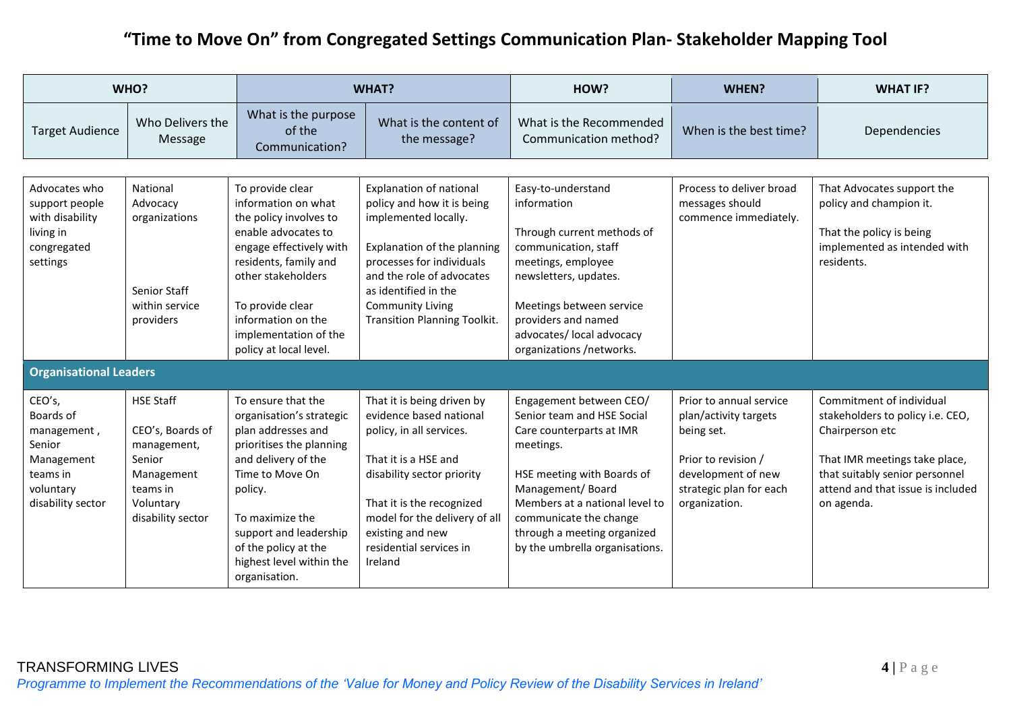|                                                                                                          | WHO?                                                                                                                      |                                                                                                                                                                                                                                                                         | <b>WHAT?</b>                                                                                                                                                                                                                                                            | HOW?                                                                                                                                                                                                                                                                          | <b>WHEN?</b>                                                                                                                                            | <b>WHAT IF?</b>                                                                                                                                                                                       |
|----------------------------------------------------------------------------------------------------------|---------------------------------------------------------------------------------------------------------------------------|-------------------------------------------------------------------------------------------------------------------------------------------------------------------------------------------------------------------------------------------------------------------------|-------------------------------------------------------------------------------------------------------------------------------------------------------------------------------------------------------------------------------------------------------------------------|-------------------------------------------------------------------------------------------------------------------------------------------------------------------------------------------------------------------------------------------------------------------------------|---------------------------------------------------------------------------------------------------------------------------------------------------------|-------------------------------------------------------------------------------------------------------------------------------------------------------------------------------------------------------|
| <b>Target Audience</b>                                                                                   | Who Delivers the<br>Message                                                                                               | What is the purpose<br>of the<br>Communication?                                                                                                                                                                                                                         | What is the content of<br>the message?                                                                                                                                                                                                                                  | What is the Recommended<br>Communication method?                                                                                                                                                                                                                              | When is the best time?                                                                                                                                  | Dependencies                                                                                                                                                                                          |
|                                                                                                          |                                                                                                                           |                                                                                                                                                                                                                                                                         |                                                                                                                                                                                                                                                                         |                                                                                                                                                                                                                                                                               |                                                                                                                                                         |                                                                                                                                                                                                       |
| Advocates who<br>support people<br>with disability<br>living in<br>congregated<br>settings               | National<br>Advocacy<br>organizations<br>Senior Staff<br>within service<br>providers                                      | To provide clear<br>information on what<br>the policy involves to<br>enable advocates to<br>engage effectively with<br>residents, family and<br>other stakeholders<br>To provide clear<br>information on the<br>implementation of the<br>policy at local level.         | <b>Explanation of national</b><br>policy and how it is being<br>implemented locally.<br>Explanation of the planning<br>processes for individuals<br>and the role of advocates<br>as identified in the<br><b>Community Living</b><br><b>Transition Planning Toolkit.</b> | Easy-to-understand<br>information<br>Through current methods of<br>communication, staff<br>meetings, employee<br>newsletters, updates.<br>Meetings between service<br>providers and named<br>advocates/ local advocacy<br>organizations /networks.                            | Process to deliver broad<br>messages should<br>commence immediately.                                                                                    | That Advocates support the<br>policy and champion it.<br>That the policy is being<br>implemented as intended with<br>residents.                                                                       |
| <b>Organisational Leaders</b>                                                                            |                                                                                                                           |                                                                                                                                                                                                                                                                         |                                                                                                                                                                                                                                                                         |                                                                                                                                                                                                                                                                               |                                                                                                                                                         |                                                                                                                                                                                                       |
| CEO's,<br>Boards of<br>management,<br>Senior<br>Management<br>teams in<br>voluntary<br>disability sector | <b>HSE Staff</b><br>CEO's, Boards of<br>management,<br>Senior<br>Management<br>teams in<br>Voluntary<br>disability sector | To ensure that the<br>organisation's strategic<br>plan addresses and<br>prioritises the planning<br>and delivery of the<br>Time to Move On<br>policy.<br>To maximize the<br>support and leadership<br>of the policy at the<br>highest level within the<br>organisation. | That it is being driven by<br>evidence based national<br>policy, in all services.<br>That it is a HSE and<br>disability sector priority<br>That it is the recognized<br>model for the delivery of all<br>existing and new<br>residential services in<br>Ireland         | Engagement between CEO/<br>Senior team and HSE Social<br>Care counterparts at IMR<br>meetings.<br>HSE meeting with Boards of<br>Management/Board<br>Members at a national level to<br>communicate the change<br>through a meeting organized<br>by the umbrella organisations. | Prior to annual service<br>plan/activity targets<br>being set.<br>Prior to revision /<br>development of new<br>strategic plan for each<br>organization. | Commitment of individual<br>stakeholders to policy i.e. CEO,<br>Chairperson etc<br>That IMR meetings take place,<br>that suitably senior personnel<br>attend and that issue is included<br>on agenda. |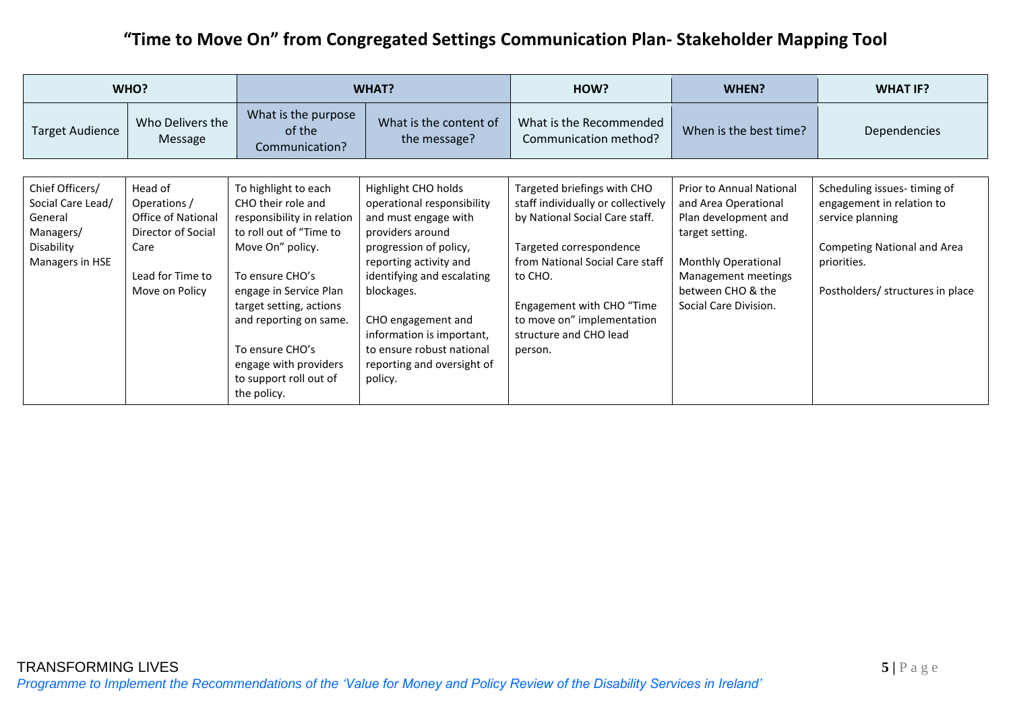| WHO?                                                                                          |                                                                                                                          |                                                                                                                                                                                                                                                                                                                | <b>WHAT?</b>                                                                                                                                                                                                                                                                                                           | HOW?                                                                                                                                                                                                                                                                         | WHEN?                                                                                                                                                                                                 | <b>WHAT IF?</b>                                                                                                                                                       |  |  |
|-----------------------------------------------------------------------------------------------|--------------------------------------------------------------------------------------------------------------------------|----------------------------------------------------------------------------------------------------------------------------------------------------------------------------------------------------------------------------------------------------------------------------------------------------------------|------------------------------------------------------------------------------------------------------------------------------------------------------------------------------------------------------------------------------------------------------------------------------------------------------------------------|------------------------------------------------------------------------------------------------------------------------------------------------------------------------------------------------------------------------------------------------------------------------------|-------------------------------------------------------------------------------------------------------------------------------------------------------------------------------------------------------|-----------------------------------------------------------------------------------------------------------------------------------------------------------------------|--|--|
| <b>Target Audience</b>                                                                        | Who Delivers the<br>Message                                                                                              | What is the purpose<br>of the<br>Communication?                                                                                                                                                                                                                                                                | What is the content of<br>the message?                                                                                                                                                                                                                                                                                 | What is the Recommended<br>Communication method?                                                                                                                                                                                                                             | When is the best time?                                                                                                                                                                                | Dependencies                                                                                                                                                          |  |  |
|                                                                                               |                                                                                                                          |                                                                                                                                                                                                                                                                                                                |                                                                                                                                                                                                                                                                                                                        |                                                                                                                                                                                                                                                                              |                                                                                                                                                                                                       |                                                                                                                                                                       |  |  |
| Chief Officers/<br>Social Care Lead/<br>General<br>Managers/<br>Disability<br>Managers in HSE | Head of<br>Operations /<br><b>Office of National</b><br>Director of Social<br>Care<br>Lead for Time to<br>Move on Policy | To highlight to each<br>CHO their role and<br>responsibility in relation<br>to roll out of "Time to<br>Move On" policy.<br>To ensure CHO's<br>engage in Service Plan<br>target setting, actions<br>and reporting on same.<br>To ensure CHO's<br>engage with providers<br>to support roll out of<br>the policy. | Highlight CHO holds<br>operational responsibility<br>and must engage with<br>providers around<br>progression of policy,<br>reporting activity and<br>identifying and escalating<br>blockages.<br>CHO engagement and<br>information is important,<br>to ensure robust national<br>reporting and oversight of<br>policy. | Targeted briefings with CHO<br>staff individually or collectively<br>by National Social Care staff.<br>Targeted correspondence<br>from National Social Care staff<br>to CHO.<br>Engagement with CHO "Time<br>to move on" implementation<br>structure and CHO lead<br>person. | <b>Prior to Annual National</b><br>and Area Operational<br>Plan development and<br>target setting.<br><b>Monthly Operational</b><br>Management meetings<br>between CHO & the<br>Social Care Division. | Scheduling issues-timing of<br>engagement in relation to<br>service planning<br><b>Competing National and Area</b><br>priorities.<br>Postholders/ structures in place |  |  |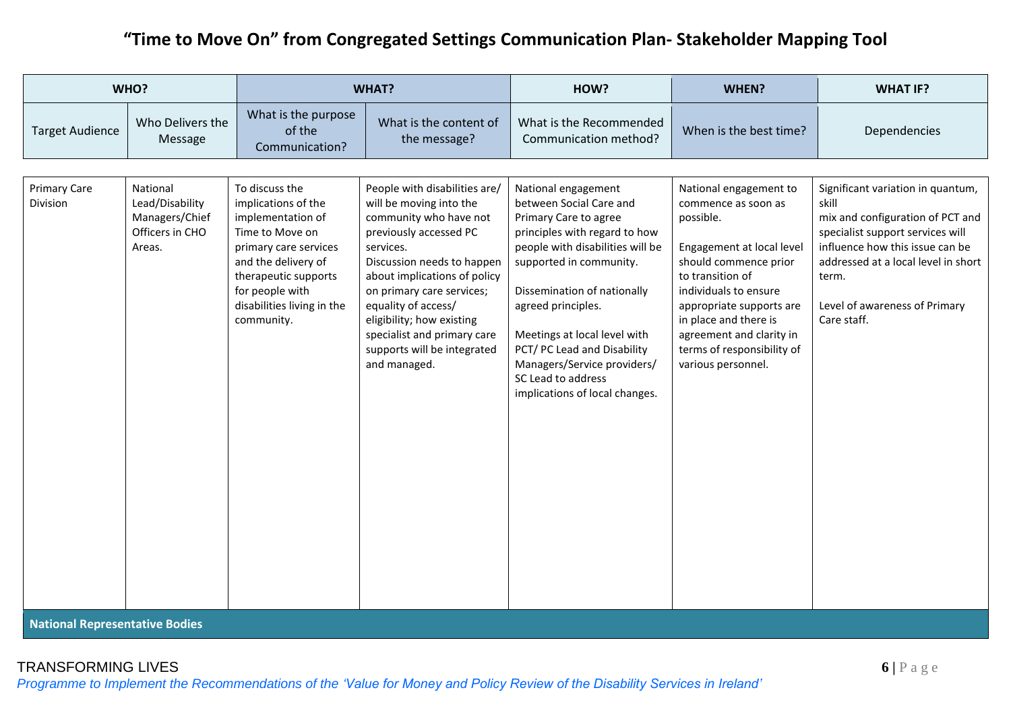|                                                                         | WHO?                                                                       | <b>WHAT?</b>                                                                                                                                                                                                         |                                                                                                                                                                                                                                                                                                                                                        | HOW?                                                                                                                                                                                                                                                                                                                                                                               | WHEN?                                                                                                                                                                                                                                                                                              | <b>WHAT IF?</b>                                                                                                                                                                                                                                       |
|-------------------------------------------------------------------------|----------------------------------------------------------------------------|----------------------------------------------------------------------------------------------------------------------------------------------------------------------------------------------------------------------|--------------------------------------------------------------------------------------------------------------------------------------------------------------------------------------------------------------------------------------------------------------------------------------------------------------------------------------------------------|------------------------------------------------------------------------------------------------------------------------------------------------------------------------------------------------------------------------------------------------------------------------------------------------------------------------------------------------------------------------------------|----------------------------------------------------------------------------------------------------------------------------------------------------------------------------------------------------------------------------------------------------------------------------------------------------|-------------------------------------------------------------------------------------------------------------------------------------------------------------------------------------------------------------------------------------------------------|
| <b>Target Audience</b>                                                  | Who Delivers the<br>Message                                                | What is the purpose<br>of the<br>Communication?                                                                                                                                                                      | What is the content of<br>the message?                                                                                                                                                                                                                                                                                                                 | What is the Recommended<br>Communication method?                                                                                                                                                                                                                                                                                                                                   | When is the best time?                                                                                                                                                                                                                                                                             | Dependencies                                                                                                                                                                                                                                          |
| <b>Primary Care</b><br>Division<br><b>Mational Democratical Dealise</b> | National<br>Lead/Disability<br>Managers/Chief<br>Officers in CHO<br>Areas. | To discuss the<br>implications of the<br>implementation of<br>Time to Move on<br>primary care services<br>and the delivery of<br>therapeutic supports<br>for people with<br>disabilities living in the<br>community. | People with disabilities are/<br>will be moving into the<br>community who have not<br>previously accessed PC<br>services.<br>Discussion needs to happen<br>about implications of policy<br>on primary care services;<br>equality of access/<br>eligibility; how existing<br>specialist and primary care<br>supports will be integrated<br>and managed. | National engagement<br>between Social Care and<br>Primary Care to agree<br>principles with regard to how<br>people with disabilities will be<br>supported in community.<br>Dissemination of nationally<br>agreed principles.<br>Meetings at local level with<br>PCT/ PC Lead and Disability<br>Managers/Service providers/<br>SC Lead to address<br>implications of local changes. | National engagement to<br>commence as soon as<br>possible.<br>Engagement at local level<br>should commence prior<br>to transition of<br>individuals to ensure<br>appropriate supports are<br>in place and there is<br>agreement and clarity in<br>terms of responsibility of<br>various personnel. | Significant variation in quantum,<br>skill<br>mix and configuration of PCT and<br>specialist support services will<br>influence how this issue can be<br>addressed at a local level in short<br>term.<br>Level of awareness of Primary<br>Care staff. |

**National Representative Bodies**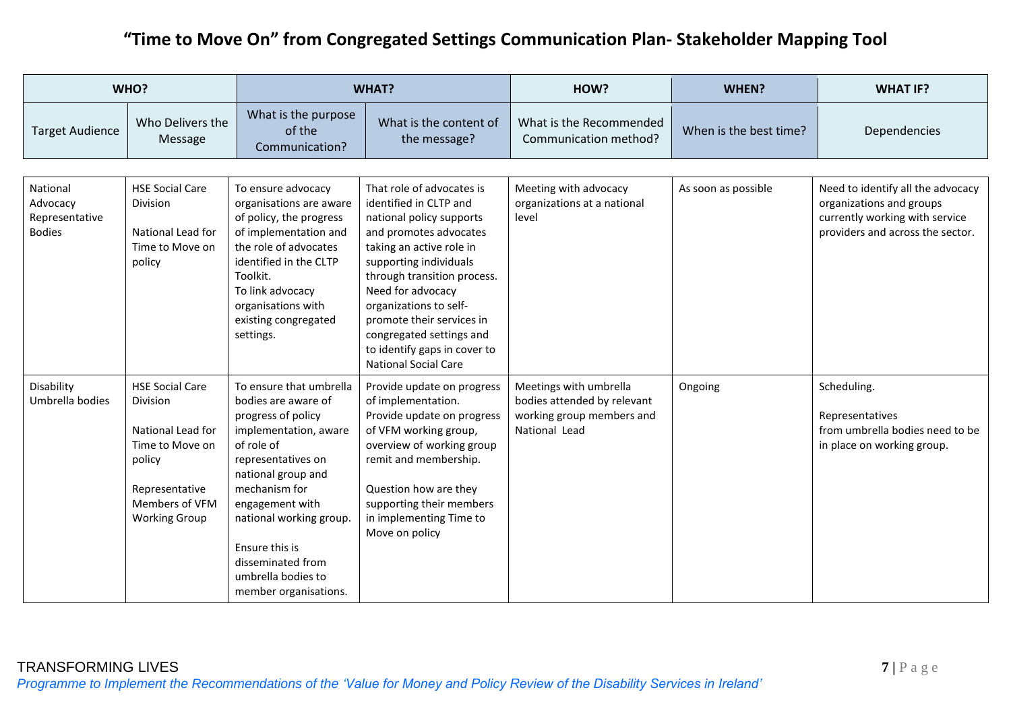|                                                         | WHO?                                                                                                                                             | <b>WHAT?</b>                                                                                                                                                                                                                                                                                                 |                                                                                                                                                                                                                                                                                                                                                                       | HOW?                                                                                                | WHEN?                  | <b>WHAT IF?</b>                                                                                                                     |
|---------------------------------------------------------|--------------------------------------------------------------------------------------------------------------------------------------------------|--------------------------------------------------------------------------------------------------------------------------------------------------------------------------------------------------------------------------------------------------------------------------------------------------------------|-----------------------------------------------------------------------------------------------------------------------------------------------------------------------------------------------------------------------------------------------------------------------------------------------------------------------------------------------------------------------|-----------------------------------------------------------------------------------------------------|------------------------|-------------------------------------------------------------------------------------------------------------------------------------|
| <b>Target Audience</b>                                  | Who Delivers the<br>Message                                                                                                                      | What is the purpose<br>of the<br>Communication?                                                                                                                                                                                                                                                              | What is the content of<br>the message?                                                                                                                                                                                                                                                                                                                                | What is the Recommended<br>Communication method?                                                    | When is the best time? | Dependencies                                                                                                                        |
| National<br>Advocacy<br>Representative<br><b>Bodies</b> | <b>HSE Social Care</b><br><b>Division</b><br>National Lead for<br>Time to Move on<br>policy                                                      | To ensure advocacy<br>organisations are aware<br>of policy, the progress<br>of implementation and<br>the role of advocates<br>identified in the CLTP<br>Toolkit.<br>To link advocacy<br>organisations with<br>existing congregated<br>settings.                                                              | That role of advocates is<br>identified in CLTP and<br>national policy supports<br>and promotes advocates<br>taking an active role in<br>supporting individuals<br>through transition process.<br>Need for advocacy<br>organizations to self-<br>promote their services in<br>congregated settings and<br>to identify gaps in cover to<br><b>National Social Care</b> | Meeting with advocacy<br>organizations at a national<br>level                                       | As soon as possible    | Need to identify all the advocacy<br>organizations and groups<br>currently working with service<br>providers and across the sector. |
| Disability<br>Umbrella bodies                           | <b>HSE Social Care</b><br>Division<br>National Lead for<br>Time to Move on<br>policy<br>Representative<br>Members of VFM<br><b>Working Group</b> | To ensure that umbrella<br>bodies are aware of<br>progress of policy<br>implementation, aware<br>of role of<br>representatives on<br>national group and<br>mechanism for<br>engagement with<br>national working group.<br>Ensure this is<br>disseminated from<br>umbrella bodies to<br>member organisations. | Provide update on progress<br>of implementation.<br>Provide update on progress<br>of VFM working group,<br>overview of working group<br>remit and membership.<br>Question how are they<br>supporting their members<br>in implementing Time to<br>Move on policy                                                                                                       | Meetings with umbrella<br>bodies attended by relevant<br>working group members and<br>National Lead | Ongoing                | Scheduling.<br>Representatives<br>from umbrella bodies need to be<br>in place on working group.                                     |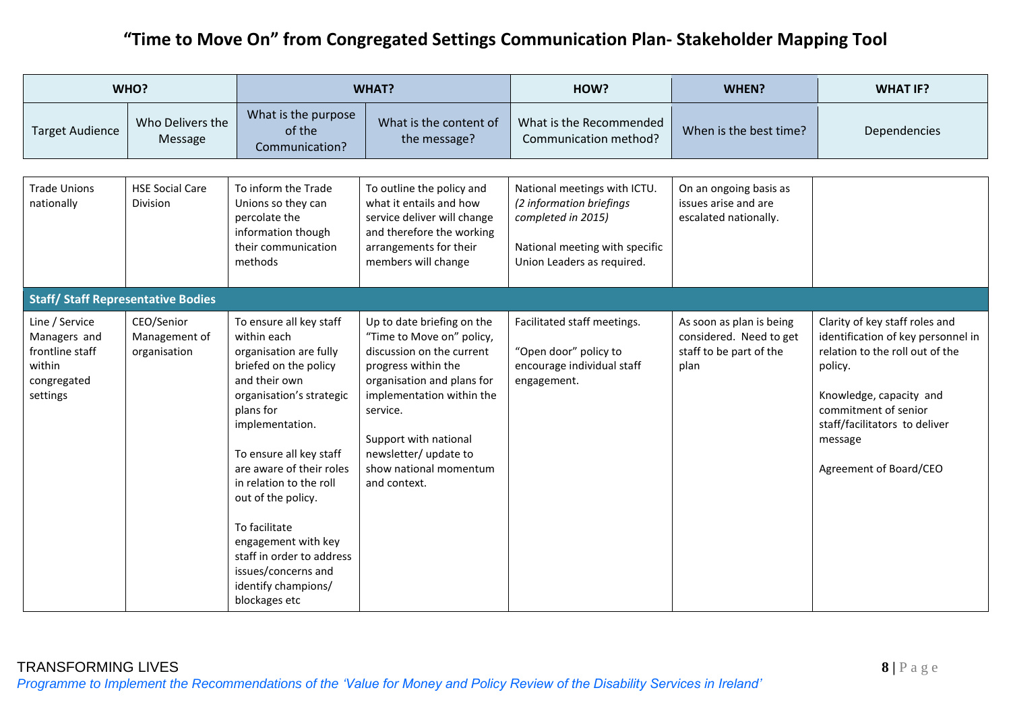|                                                                                        | WHO?                                        |                                                                                                                                                                                                                                                                                                                                                                                                                    | <b>WHAT?</b>                                                                                                                                                                                                                                                                   |                                                                                                                                                | WHEN?                                                                                  | <b>WHAT IF?</b>                                                                                                                                                                                                                             |
|----------------------------------------------------------------------------------------|---------------------------------------------|--------------------------------------------------------------------------------------------------------------------------------------------------------------------------------------------------------------------------------------------------------------------------------------------------------------------------------------------------------------------------------------------------------------------|--------------------------------------------------------------------------------------------------------------------------------------------------------------------------------------------------------------------------------------------------------------------------------|------------------------------------------------------------------------------------------------------------------------------------------------|----------------------------------------------------------------------------------------|---------------------------------------------------------------------------------------------------------------------------------------------------------------------------------------------------------------------------------------------|
| <b>Target Audience</b>                                                                 | Who Delivers the<br>Message                 | What is the purpose<br>of the<br>Communication?                                                                                                                                                                                                                                                                                                                                                                    | What is the content of<br>the message?                                                                                                                                                                                                                                         | What is the Recommended<br>Communication method?                                                                                               | When is the best time?                                                                 | Dependencies                                                                                                                                                                                                                                |
| <b>Trade Unions</b><br>nationally                                                      | <b>HSE Social Care</b><br><b>Division</b>   | To inform the Trade<br>Unions so they can<br>percolate the<br>information though<br>their communication<br>methods                                                                                                                                                                                                                                                                                                 | To outline the policy and<br>what it entails and how<br>service deliver will change<br>and therefore the working<br>arrangements for their<br>members will change                                                                                                              | National meetings with ICTU.<br>(2 information briefings<br>completed in 2015)<br>National meeting with specific<br>Union Leaders as required. | On an ongoing basis as<br>issues arise and are<br>escalated nationally.                |                                                                                                                                                                                                                                             |
| <b>Staff/ Staff Representative Bodies</b>                                              |                                             |                                                                                                                                                                                                                                                                                                                                                                                                                    |                                                                                                                                                                                                                                                                                |                                                                                                                                                |                                                                                        |                                                                                                                                                                                                                                             |
| Line / Service<br>Managers and<br>frontline staff<br>within<br>congregated<br>settings | CEO/Senior<br>Management of<br>organisation | To ensure all key staff<br>within each<br>organisation are fully<br>briefed on the policy<br>and their own<br>organisation's strategic<br>plans for<br>implementation.<br>To ensure all key staff<br>are aware of their roles<br>in relation to the roll<br>out of the policy.<br>To facilitate<br>engagement with key<br>staff in order to address<br>issues/concerns and<br>identify champions/<br>blockages etc | Up to date briefing on the<br>"Time to Move on" policy,<br>discussion on the current<br>progress within the<br>organisation and plans for<br>implementation within the<br>service.<br>Support with national<br>newsletter/ update to<br>show national momentum<br>and context. | Facilitated staff meetings.<br>"Open door" policy to<br>encourage individual staff<br>engagement.                                              | As soon as plan is being<br>considered. Need to get<br>staff to be part of the<br>plan | Clarity of key staff roles and<br>identification of key personnel in<br>relation to the roll out of the<br>policy.<br>Knowledge, capacity and<br>commitment of senior<br>staff/facilitators to deliver<br>message<br>Agreement of Board/CEO |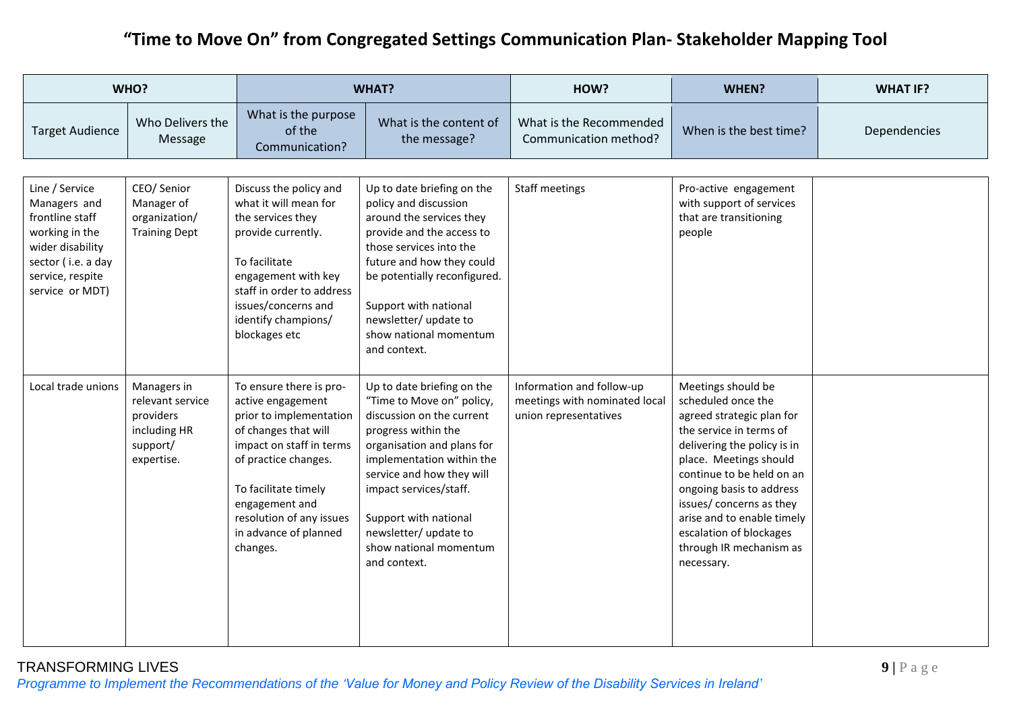|                                                                                                                                                      | WHO?                                                                                   |                                                                                                                                                                                                                                                                | <b>WHAT?</b>                                                                                                                                                                                                                                                                                                              | HOW?                                                                                | WHEN?                                                                                                                                                                                                                                                                                                                                            | <b>WHAT IF?</b> |
|------------------------------------------------------------------------------------------------------------------------------------------------------|----------------------------------------------------------------------------------------|----------------------------------------------------------------------------------------------------------------------------------------------------------------------------------------------------------------------------------------------------------------|---------------------------------------------------------------------------------------------------------------------------------------------------------------------------------------------------------------------------------------------------------------------------------------------------------------------------|-------------------------------------------------------------------------------------|--------------------------------------------------------------------------------------------------------------------------------------------------------------------------------------------------------------------------------------------------------------------------------------------------------------------------------------------------|-----------------|
| <b>Target Audience</b>                                                                                                                               | Who Delivers the<br>Message                                                            | What is the purpose<br>of the<br>Communication?                                                                                                                                                                                                                | What is the content of<br>the message?                                                                                                                                                                                                                                                                                    | What is the Recommended<br>Communication method?                                    | When is the best time?                                                                                                                                                                                                                                                                                                                           | Dependencies    |
| Line / Service<br>Managers and<br>frontline staff<br>working in the<br>wider disability<br>sector (i.e. a day<br>service, respite<br>service or MDT) | CEO/ Senior<br>Manager of<br>organization/<br><b>Training Dept</b>                     | Discuss the policy and<br>what it will mean for<br>the services they<br>provide currently.<br>To facilitate<br>engagement with key<br>staff in order to address<br>issues/concerns and<br>identify champions/<br>blockages etc                                 | Up to date briefing on the<br>policy and discussion<br>around the services they<br>provide and the access to<br>those services into the<br>future and how they could<br>be potentially reconfigured.<br>Support with national<br>newsletter/ update to<br>show national momentum<br>and context.                          | <b>Staff meetings</b>                                                               | Pro-active engagement<br>with support of services<br>that are transitioning<br>people                                                                                                                                                                                                                                                            |                 |
| Local trade unions                                                                                                                                   | Managers in<br>relevant service<br>providers<br>including HR<br>support/<br>expertise. | To ensure there is pro-<br>active engagement<br>prior to implementation<br>of changes that will<br>impact on staff in terms<br>of practice changes.<br>To facilitate timely<br>engagement and<br>resolution of any issues<br>in advance of planned<br>changes. | Up to date briefing on the<br>"Time to Move on" policy,<br>discussion on the current<br>progress within the<br>organisation and plans for<br>implementation within the<br>service and how they will<br>impact services/staff.<br>Support with national<br>newsletter/ update to<br>show national momentum<br>and context. | Information and follow-up<br>meetings with nominated local<br>union representatives | Meetings should be<br>scheduled once the<br>agreed strategic plan for<br>the service in terms of<br>delivering the policy is in<br>place. Meetings should<br>continue to be held on an<br>ongoing basis to address<br>issues/ concerns as they<br>arise and to enable timely<br>escalation of blockages<br>through IR mechanism as<br>necessary. |                 |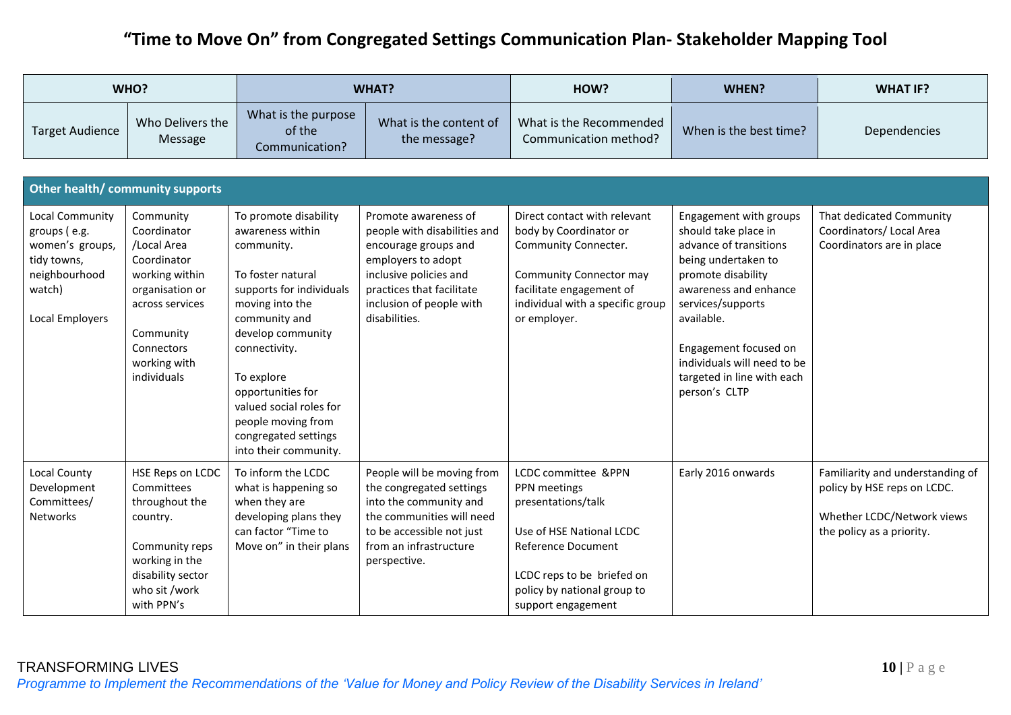|                                                                                                                        | WHO?                                                                                                                                                                     |                                                                                                                                                                                                                                                                                                                         | <b>WHAT?</b>                                                                                                                                                                                           | HOW?                                                                                                                                                                                                  | WHEN?                                                                                                                                                                                                                                                                                    | <b>WHAT IF?</b>                                                                                                            |  |  |
|------------------------------------------------------------------------------------------------------------------------|--------------------------------------------------------------------------------------------------------------------------------------------------------------------------|-------------------------------------------------------------------------------------------------------------------------------------------------------------------------------------------------------------------------------------------------------------------------------------------------------------------------|--------------------------------------------------------------------------------------------------------------------------------------------------------------------------------------------------------|-------------------------------------------------------------------------------------------------------------------------------------------------------------------------------------------------------|------------------------------------------------------------------------------------------------------------------------------------------------------------------------------------------------------------------------------------------------------------------------------------------|----------------------------------------------------------------------------------------------------------------------------|--|--|
| <b>Target Audience</b>                                                                                                 | Who Delivers the<br>Message                                                                                                                                              | What is the purpose<br>of the<br>Communication?                                                                                                                                                                                                                                                                         | What is the content of<br>the message?                                                                                                                                                                 | What is the Recommended<br>Communication method?                                                                                                                                                      | When is the best time?                                                                                                                                                                                                                                                                   | Dependencies                                                                                                               |  |  |
| Other health/ community supports                                                                                       |                                                                                                                                                                          |                                                                                                                                                                                                                                                                                                                         |                                                                                                                                                                                                        |                                                                                                                                                                                                       |                                                                                                                                                                                                                                                                                          |                                                                                                                            |  |  |
| <b>Local Community</b><br>groups (e.g.<br>women's groups,<br>tidy towns,<br>neighbourhood<br>watch)<br>Local Employers | Community<br>Coordinator<br>/Local Area<br>Coordinator<br>working within<br>organisation or<br>across services<br>Community<br>Connectors<br>working with<br>individuals | To promote disability<br>awareness within<br>community.<br>To foster natural<br>supports for individuals<br>moving into the<br>community and<br>develop community<br>connectivity.<br>To explore<br>opportunities for<br>valued social roles for<br>people moving from<br>congregated settings<br>into their community. | Promote awareness of<br>people with disabilities and<br>encourage groups and<br>employers to adopt<br>inclusive policies and<br>practices that facilitate<br>inclusion of people with<br>disabilities. | Direct contact with relevant<br>body by Coordinator or<br>Community Connecter.<br><b>Community Connector may</b><br>facilitate engagement of<br>individual with a specific group<br>or employer.      | Engagement with groups<br>should take place in<br>advance of transitions<br>being undertaken to<br>promote disability<br>awareness and enhance<br>services/supports<br>available.<br>Engagement focused on<br>individuals will need to be<br>targeted in line with each<br>person's CLTP | That dedicated Community<br>Coordinators/ Local Area<br>Coordinators are in place                                          |  |  |
| <b>Local County</b><br>Development<br>Committees/<br><b>Networks</b>                                                   | HSE Reps on LCDC<br>Committees<br>throughout the<br>country.<br>Community reps<br>working in the<br>disability sector<br>who sit /work<br>with PPN's                     | To inform the LCDC<br>what is happening so<br>when they are<br>developing plans they<br>can factor "Time to<br>Move on" in their plans                                                                                                                                                                                  | People will be moving from<br>the congregated settings<br>into the community and<br>the communities will need<br>to be accessible not just<br>from an infrastructure<br>perspective.                   | LCDC committee &PPN<br>PPN meetings<br>presentations/talk<br>Use of HSE National LCDC<br><b>Reference Document</b><br>LCDC reps to be briefed on<br>policy by national group to<br>support engagement | Early 2016 onwards                                                                                                                                                                                                                                                                       | Familiarity and understanding of<br>policy by HSE reps on LCDC.<br>Whether LCDC/Network views<br>the policy as a priority. |  |  |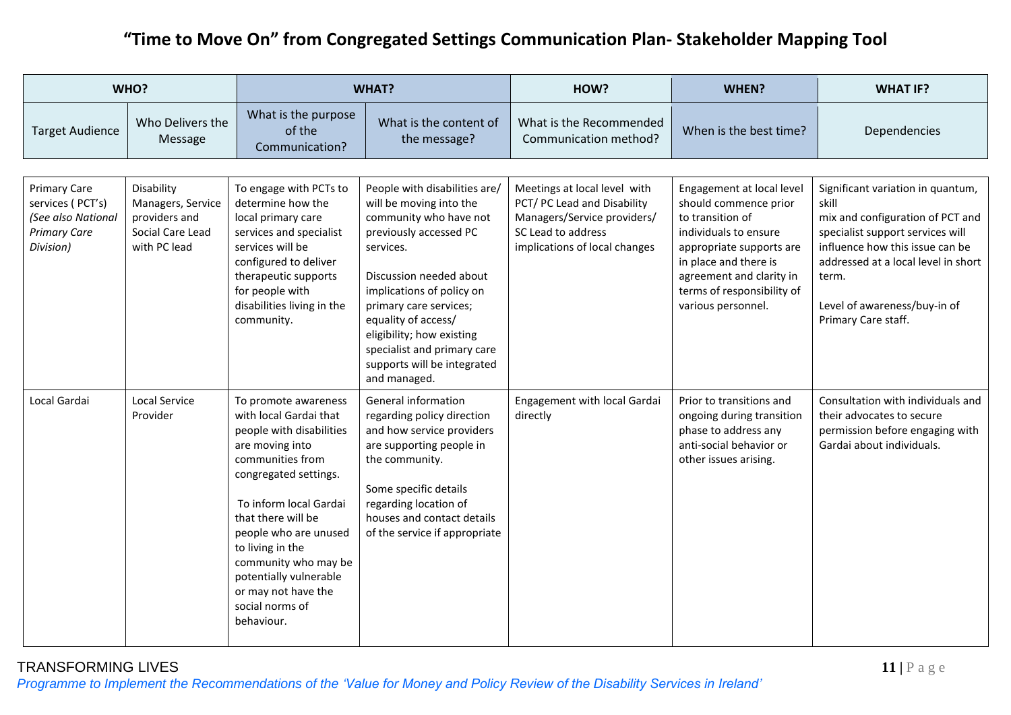|                                                                                                   | WHO?                                                                                 |                                                                                                                                                                                                                                                                                                                                                   | <b>WHAT?</b>                                                                                                                                                                                                                                                                                                                                  | HOW?                                                                                                                                              | WHEN?                                                                                                                                                                                                                                | <b>WHAT IF?</b>                                                                                                                                                                                                                                              |
|---------------------------------------------------------------------------------------------------|--------------------------------------------------------------------------------------|---------------------------------------------------------------------------------------------------------------------------------------------------------------------------------------------------------------------------------------------------------------------------------------------------------------------------------------------------|-----------------------------------------------------------------------------------------------------------------------------------------------------------------------------------------------------------------------------------------------------------------------------------------------------------------------------------------------|---------------------------------------------------------------------------------------------------------------------------------------------------|--------------------------------------------------------------------------------------------------------------------------------------------------------------------------------------------------------------------------------------|--------------------------------------------------------------------------------------------------------------------------------------------------------------------------------------------------------------------------------------------------------------|
| <b>Target Audience</b>                                                                            | Who Delivers the<br>Message                                                          | What is the purpose<br>of the<br>Communication?                                                                                                                                                                                                                                                                                                   | What is the content of<br>the message?                                                                                                                                                                                                                                                                                                        | What is the Recommended<br>Communication method?                                                                                                  | When is the best time?                                                                                                                                                                                                               | Dependencies                                                                                                                                                                                                                                                 |
| <b>Primary Care</b><br>services (PCT's)<br>(See also National<br><b>Primary Care</b><br>Division) | Disability<br>Managers, Service<br>providers and<br>Social Care Lead<br>with PC lead | To engage with PCTs to<br>determine how the<br>local primary care<br>services and specialist<br>services will be<br>configured to deliver<br>therapeutic supports<br>for people with<br>disabilities living in the<br>community.                                                                                                                  | People with disabilities are/<br>will be moving into the<br>community who have not<br>previously accessed PC<br>services.<br>Discussion needed about<br>implications of policy on<br>primary care services;<br>equality of access/<br>eligibility; how existing<br>specialist and primary care<br>supports will be integrated<br>and managed. | Meetings at local level with<br>PCT/ PC Lead and Disability<br>Managers/Service providers/<br>SC Lead to address<br>implications of local changes | Engagement at local level<br>should commence prior<br>to transition of<br>individuals to ensure<br>appropriate supports are<br>in place and there is<br>agreement and clarity in<br>terms of responsibility of<br>various personnel. | Significant variation in quantum,<br>skill<br>mix and configuration of PCT and<br>specialist support services will<br>influence how this issue can be<br>addressed at a local level in short<br>term.<br>Level of awareness/buy-in of<br>Primary Care staff. |
| Local Gardai                                                                                      | <b>Local Service</b><br>Provider                                                     | To promote awareness<br>with local Gardai that<br>people with disabilities<br>are moving into<br>communities from<br>congregated settings.<br>To inform local Gardai<br>that there will be<br>people who are unused<br>to living in the<br>community who may be<br>potentially vulnerable<br>or may not have the<br>social norms of<br>behaviour. | General information<br>regarding policy direction<br>and how service providers<br>are supporting people in<br>the community.<br>Some specific details<br>regarding location of<br>houses and contact details<br>of the service if appropriate                                                                                                 | Engagement with local Gardai<br>directly                                                                                                          | Prior to transitions and<br>ongoing during transition<br>phase to address any<br>anti-social behavior or<br>other issues arising.                                                                                                    | Consultation with individuals and<br>their advocates to secure<br>permission before engaging with<br>Gardai about individuals.                                                                                                                               |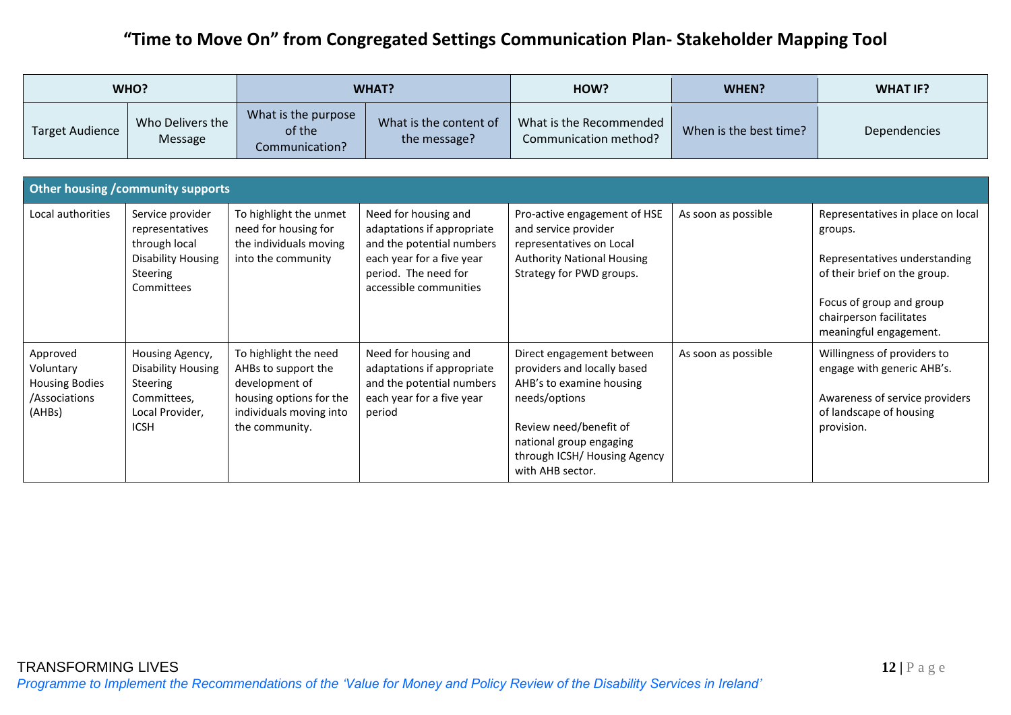| WHO?                                                                      |                                                                                                                  | <b>WHAT?</b>                                                                                                                           |                                                                                                                                                                | HOW?                                                                                                                                                                                                           | <b>WHEN?</b>           | <b>WHAT IF?</b>                                                                                                                                                                                |
|---------------------------------------------------------------------------|------------------------------------------------------------------------------------------------------------------|----------------------------------------------------------------------------------------------------------------------------------------|----------------------------------------------------------------------------------------------------------------------------------------------------------------|----------------------------------------------------------------------------------------------------------------------------------------------------------------------------------------------------------------|------------------------|------------------------------------------------------------------------------------------------------------------------------------------------------------------------------------------------|
| <b>Target Audience</b>                                                    | Who Delivers the<br>Message                                                                                      | What is the purpose<br>of the<br>Communication?                                                                                        | What is the content of<br>the message?                                                                                                                         | What is the Recommended<br>Communication method?                                                                                                                                                               | When is the best time? | Dependencies                                                                                                                                                                                   |
|                                                                           |                                                                                                                  |                                                                                                                                        |                                                                                                                                                                |                                                                                                                                                                                                                |                        |                                                                                                                                                                                                |
|                                                                           | Other housing / community supports                                                                               |                                                                                                                                        |                                                                                                                                                                |                                                                                                                                                                                                                |                        |                                                                                                                                                                                                |
| Local authorities                                                         | Service provider<br>representatives<br>through local<br><b>Disability Housing</b><br>Steering<br>Committees      | To highlight the unmet<br>need for housing for<br>the individuals moving<br>into the community                                         | Need for housing and<br>adaptations if appropriate<br>and the potential numbers<br>each year for a five year<br>period. The need for<br>accessible communities | Pro-active engagement of HSE<br>and service provider<br>representatives on Local<br><b>Authority National Housing</b><br>Strategy for PWD groups.                                                              | As soon as possible    | Representatives in place on local<br>groups.<br>Representatives understanding<br>of their brief on the group.<br>Focus of group and group<br>chairperson facilitates<br>meaningful engagement. |
| Approved<br>Voluntary<br><b>Housing Bodies</b><br>/Associations<br>(AHBs) | Housing Agency,<br><b>Disability Housing</b><br><b>Steering</b><br>Committees,<br>Local Provider,<br><b>ICSH</b> | To highlight the need<br>AHBs to support the<br>development of<br>housing options for the<br>individuals moving into<br>the community. | Need for housing and<br>adaptations if appropriate<br>and the potential numbers<br>each year for a five year<br>period                                         | Direct engagement between<br>providers and locally based<br>AHB's to examine housing<br>needs/options<br>Review need/benefit of<br>national group engaging<br>through ICSH/ Housing Agency<br>with AHB sector. | As soon as possible    | Willingness of providers to<br>engage with generic AHB's.<br>Awareness of service providers<br>of landscape of housing<br>provision.                                                           |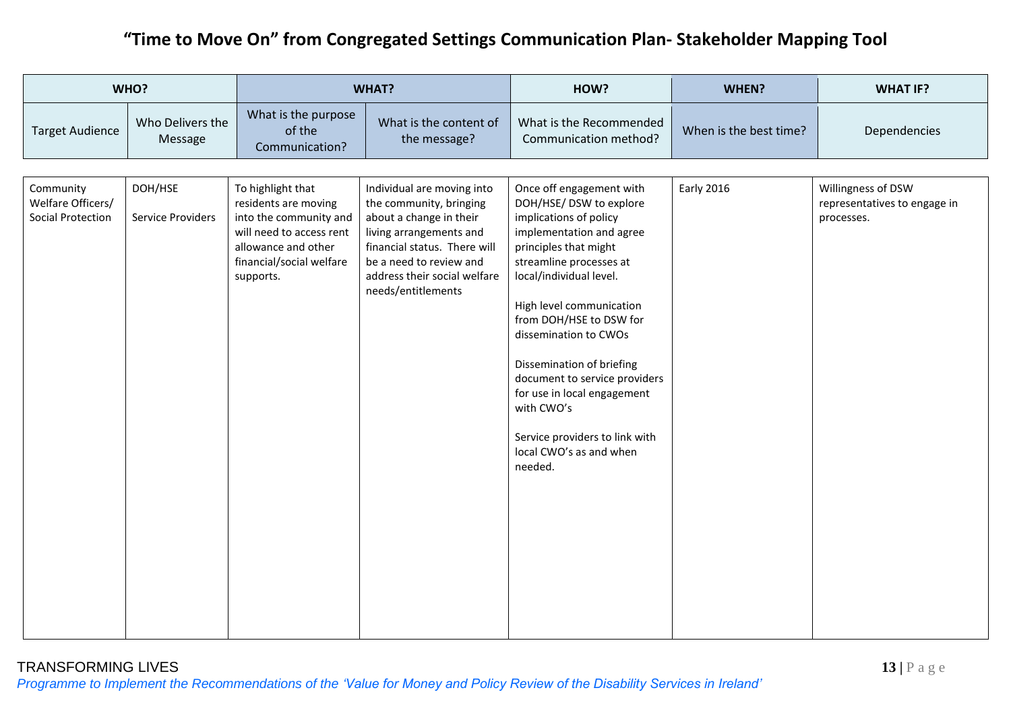| WHO?                                                       |                                     | <b>WHAT?</b>                                                                                                                                                    |                                                                                                                                                                                                                              | HOW?                                                                                                                                                                                                                                                                                                                                                                                                                                                        | WHEN?                  | <b>WHAT IF?</b>                                                  |
|------------------------------------------------------------|-------------------------------------|-----------------------------------------------------------------------------------------------------------------------------------------------------------------|------------------------------------------------------------------------------------------------------------------------------------------------------------------------------------------------------------------------------|-------------------------------------------------------------------------------------------------------------------------------------------------------------------------------------------------------------------------------------------------------------------------------------------------------------------------------------------------------------------------------------------------------------------------------------------------------------|------------------------|------------------------------------------------------------------|
| <b>Target Audience</b>                                     | Who Delivers the<br>Message         | What is the purpose<br>of the<br>Communication?                                                                                                                 | What is the content of<br>the message?                                                                                                                                                                                       | What is the Recommended<br>Communication method?                                                                                                                                                                                                                                                                                                                                                                                                            | When is the best time? | Dependencies                                                     |
| Community<br>Welfare Officers/<br><b>Social Protection</b> | DOH/HSE<br><b>Service Providers</b> | To highlight that<br>residents are moving<br>into the community and<br>will need to access rent<br>allowance and other<br>financial/social welfare<br>supports. | Individual are moving into<br>the community, bringing<br>about a change in their<br>living arrangements and<br>financial status. There will<br>be a need to review and<br>address their social welfare<br>needs/entitlements | Once off engagement with<br>DOH/HSE/ DSW to explore<br>implications of policy<br>implementation and agree<br>principles that might<br>streamline processes at<br>local/individual level.<br>High level communication<br>from DOH/HSE to DSW for<br>dissemination to CWOs<br>Dissemination of briefing<br>document to service providers<br>for use in local engagement<br>with CWO's<br>Service providers to link with<br>local CWO's as and when<br>needed. | <b>Early 2016</b>      | Willingness of DSW<br>representatives to engage in<br>processes. |